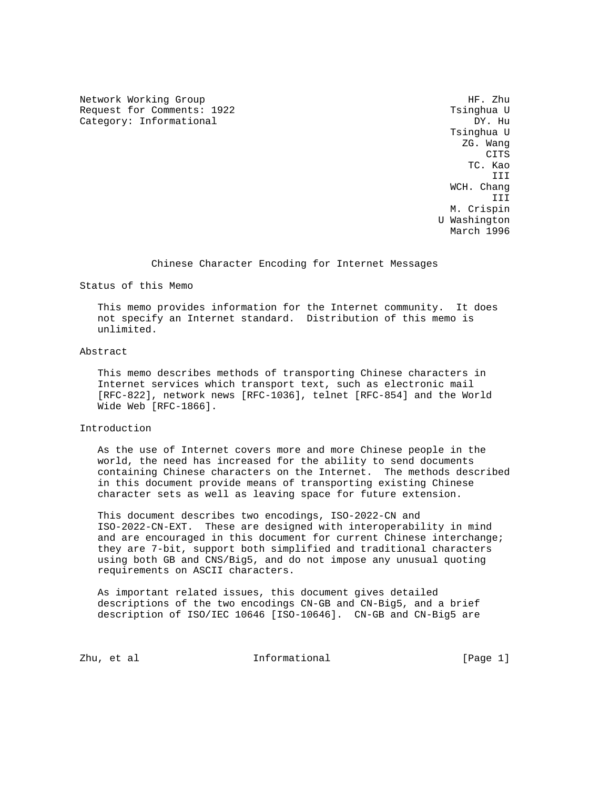Network Working Group Heroup Heroup Heroup Heroup Heroup Heroup Heroup Heroup Heroup Request for Comments: 1922 Tsinghua U Category: Informational

 Tsinghua U ZG. Wang **CITS**  TC. Kao III WCH. Chang III M. Crispin U Washington March 1996

Chinese Character Encoding for Internet Messages

Status of this Memo

 This memo provides information for the Internet community. It does not specify an Internet standard. Distribution of this memo is unlimited.

# Abstract

 This memo describes methods of transporting Chinese characters in Internet services which transport text, such as electronic mail [RFC-822], network news [RFC-1036], telnet [RFC-854] and the World Wide Web [RFC-1866].

# Introduction

 As the use of Internet covers more and more Chinese people in the world, the need has increased for the ability to send documents containing Chinese characters on the Internet. The methods described in this document provide means of transporting existing Chinese character sets as well as leaving space for future extension.

 This document describes two encodings, ISO-2022-CN and ISO-2022-CN-EXT. These are designed with interoperability in mind and are encouraged in this document for current Chinese interchange; they are 7-bit, support both simplified and traditional characters using both GB and CNS/Big5, and do not impose any unusual quoting requirements on ASCII characters.

 As important related issues, this document gives detailed descriptions of the two encodings CN-GB and CN-Big5, and a brief description of ISO/IEC 10646 [ISO-10646]. CN-GB and CN-Big5 are

Zhu, et al informational [Page 1]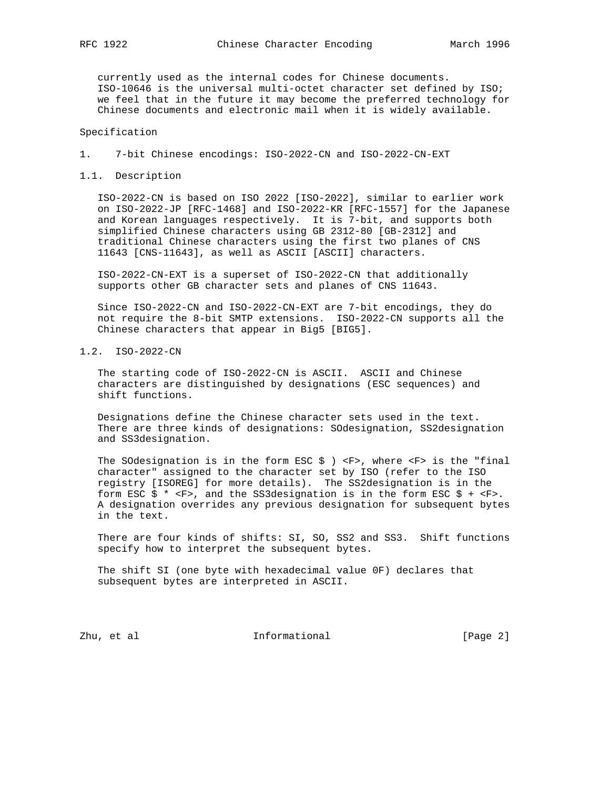currently used as the internal codes for Chinese documents. ISO-10646 is the universal multi-octet character set defined by ISO; we feel that in the future it may become the preferred technology for Chinese documents and electronic mail when it is widely available.

# Specification

- 1. 7-bit Chinese encodings: ISO-2022-CN and ISO-2022-CN-EXT
- 1.1. Description

 ISO-2022-CN is based on ISO 2022 [ISO-2022], similar to earlier work on ISO-2022-JP [RFC-1468] and ISO-2022-KR [RFC-1557] for the Japanese and Korean languages respectively. It is 7-bit, and supports both simplified Chinese characters using GB 2312-80 [GB-2312] and traditional Chinese characters using the first two planes of CNS 11643 [CNS-11643], as well as ASCII [ASCII] characters.

 ISO-2022-CN-EXT is a superset of ISO-2022-CN that additionally supports other GB character sets and planes of CNS 11643.

 Since ISO-2022-CN and ISO-2022-CN-EXT are 7-bit encodings, they do not require the 8-bit SMTP extensions. ISO-2022-CN supports all the Chinese characters that appear in Big5 [BIG5].

1.2. ISO-2022-CN

 The starting code of ISO-2022-CN is ASCII. ASCII and Chinese characters are distinguished by designations (ESC sequences) and shift functions.

 Designations define the Chinese character sets used in the text. There are three kinds of designations: SOdesignation, SS2designation and SS3designation.

The SOdesignation is in the form ESC  $\sharp$  ) <F>, where <F> is the "final character" assigned to the character set by ISO (refer to the ISO registry [ISOREG] for more details). The SS2designation is in the form ESC  $\frac{2}{5}$  \* <F>, and the SS3designation is in the form ESC  $\frac{2}{5}$  + <F>. A designation overrides any previous designation for subsequent bytes in the text.

 There are four kinds of shifts: SI, SO, SS2 and SS3. Shift functions specify how to interpret the subsequent bytes.

 The shift SI (one byte with hexadecimal value 0F) declares that subsequent bytes are interpreted in ASCII.

Zhu, et al informational [Page 2]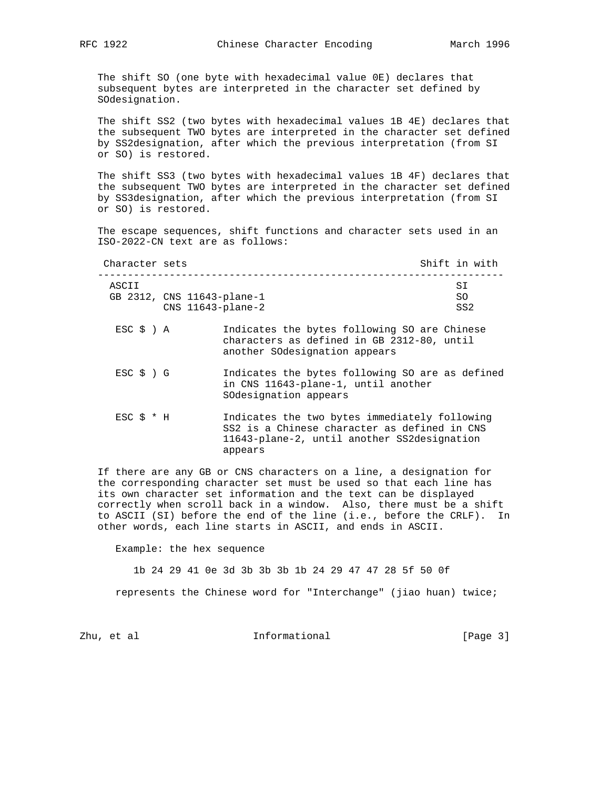The shift SO (one byte with hexadecimal value 0E) declares that subsequent bytes are interpreted in the character set defined by SOdesignation.

 The shift SS2 (two bytes with hexadecimal values 1B 4E) declares that the subsequent TWO bytes are interpreted in the character set defined by SS2designation, after which the previous interpretation (from SI or SO) is restored.

 The shift SS3 (two bytes with hexadecimal values 1B 4F) declares that the subsequent TWO bytes are interpreted in the character set defined by SS3designation, after which the previous interpretation (from SI or SO) is restored.

 The escape sequences, shift functions and character sets used in an ISO-2022-CN text are as follows:

| Character sets |                            | Shift in with |     |  |
|----------------|----------------------------|---------------|-----|--|
| ASCII          |                            |               | ST  |  |
|                | GB 2312, CNS 11643-plane-1 |               | SO  |  |
|                | $CNS$ 11643-plane-2        |               | SS2 |  |

- ESC \$ ) A Indicates the bytes following SO are Chinese characters as defined in GB 2312-80, until another SOdesignation appears
- ESC \$ ) G Indicates the bytes following SO are as defined in CNS 11643-plane-1, until another SOdesignation appears
- ESC \$ \* H Indicates the two bytes immediately following SS2 is a Chinese character as defined in CNS 11643-plane-2, until another SS2designation appears

 If there are any GB or CNS characters on a line, a designation for the corresponding character set must be used so that each line has its own character set information and the text can be displayed correctly when scroll back in a window. Also, there must be a shift to ASCII (SI) before the end of the line (i.e., before the CRLF). In other words, each line starts in ASCII, and ends in ASCII.

Example: the hex sequence

1b 24 29 41 0e 3d 3b 3b 3b 1b 24 29 47 47 28 5f 50 0f

represents the Chinese word for "Interchange" (jiao huan) twice;

Zhu, et al informational [Page 3]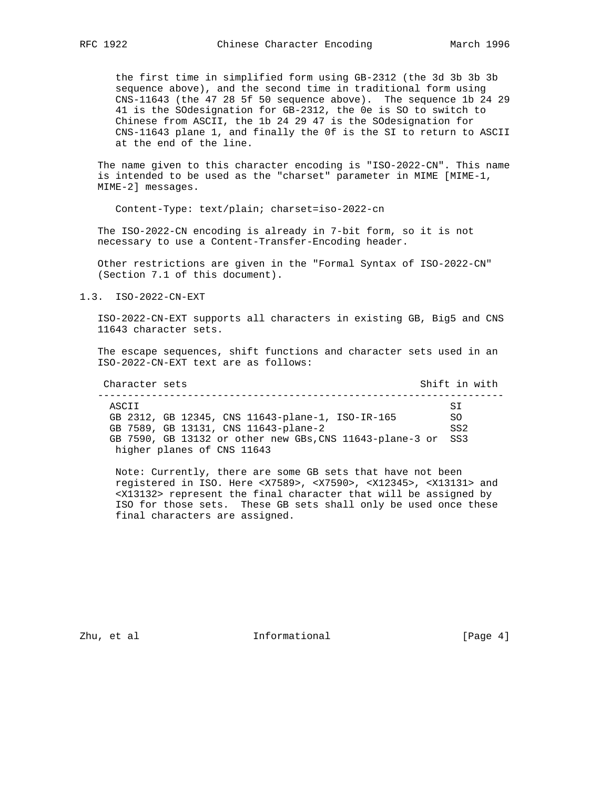the first time in simplified form using GB-2312 (the 3d 3b 3b 3b sequence above), and the second time in traditional form using CNS-11643 (the 47 28 5f 50 sequence above). The sequence 1b 24 29 41 is the SOdesignation for GB-2312, the 0e is SO to switch to Chinese from ASCII, the 1b 24 29 47 is the SOdesignation for CNS-11643 plane 1, and finally the 0f is the SI to return to ASCII at the end of the line.

 The name given to this character encoding is "ISO-2022-CN". This name is intended to be used as the "charset" parameter in MIME [MIME-1, MIME-2] messages.

Content-Type: text/plain; charset=iso-2022-cn

 The ISO-2022-CN encoding is already in 7-bit form, so it is not necessary to use a Content-Transfer-Encoding header.

 Other restrictions are given in the "Formal Syntax of ISO-2022-CN" (Section 7.1 of this document).

#### 1.3. ISO-2022-CN-EXT

 ISO-2022-CN-EXT supports all characters in existing GB, Big5 and CNS 11643 character sets.

 The escape sequences, shift functions and character sets used in an ISO-2022-CN-EXT text are as follows:

| Character sets                                               | Shift in with |
|--------------------------------------------------------------|---------------|
| ASCII                                                        | ST.           |
| GB 2312, GB 12345, CNS 11643-plane-1, ISO-IR-165             | SO.           |
| GB 7589, GB 13131, CNS 11643-plane-2                         | SS2           |
| GB 7590, GB 13132 or other new GBs, CNS 11643-plane-3 or SS3 |               |
| higher planes of CNS 11643                                   |               |

 Note: Currently, there are some GB sets that have not been registered in ISO. Here <X7589>, <X7590>, <X12345>, <X13131> and <X13132> represent the final character that will be assigned by ISO for those sets. These GB sets shall only be used once these final characters are assigned.

Zhu, et al  $I_n$  Informational [Page 4]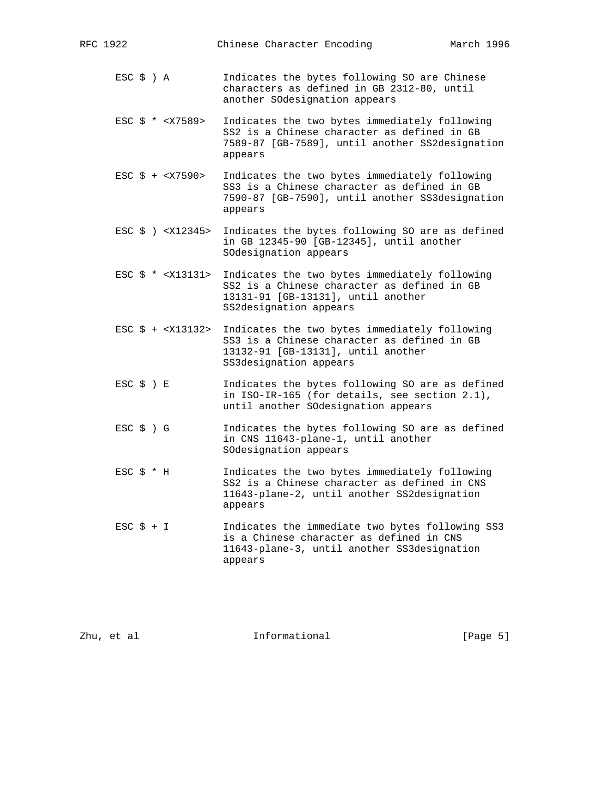| RFC 1922                             | March 1996<br>Chinese Character Encoding                                                                                                                     |  |
|--------------------------------------|--------------------------------------------------------------------------------------------------------------------------------------------------------------|--|
| $ESC \S$ ) A                         | Indicates the bytes following SO are Chinese<br>characters as defined in GB 2312-80, until<br>another SOdesignation appears                                  |  |
| $\text{ESC}$ \$ * < X7589>           | Indicates the two bytes immediately following<br>SS2 is a Chinese character as defined in GB<br>7589-87 [GB-7589], until another SS2designation<br>appears   |  |
| $\text{ESC}$ \$ + <x7590></x7590>    | Indicates the two bytes immediately following<br>SS3 is a Chinese character as defined in GB<br>7590-87 [GB-7590], until another SS3designation<br>appears   |  |
| $ESC \S$ ) < $X12345$ >              | Indicates the bytes following SO are as defined<br>in GB 12345-90 [GB-12345], until another<br>SOdesignation appears                                         |  |
| $\text{ESC}$ \$ * < $\text{X13131>}$ | Indicates the two bytes immediately following<br>SS2 is a Chinese character as defined in GB<br>13131-91 [GB-13131], until another<br>SS2designation appears |  |
| $\text{ESC}$ \$ + < $\text{X13132>}$ | Indicates the two bytes immediately following<br>SS3 is a Chinese character as defined in GB<br>13132-91 [GB-13131], until another<br>SS3designation appears |  |
| $ESC$ $\zeta$ ) E                    | Indicates the bytes following SO are as defined<br>in ISO-IR-165 (for details, see section 2.1),<br>until another SOdesignation appears                      |  |
| $ESC$ $\zeta$ ) $G$                  | Indicates the bytes following SO are as defined<br>in CNS 11643-plane-1, until another<br>SOdesignation appears                                              |  |
| $ESC$ $\frac{1}{2}$ $*$ H            | Indicates the two bytes immediately following<br>SS2 is a Chinese character as defined in CNS<br>11643-plane-2, until another SS2designation<br>appears      |  |
| $\text{ESC}$ $\uparrow$ + I          | Indicates the immediate two bytes following SS3<br>is a Chinese character as defined in CNS<br>11643-plane-3, until another SS3designation<br>appears        |  |
|                                      |                                                                                                                                                              |  |
|                                      |                                                                                                                                                              |  |

Zhu, et al informational [Page 5]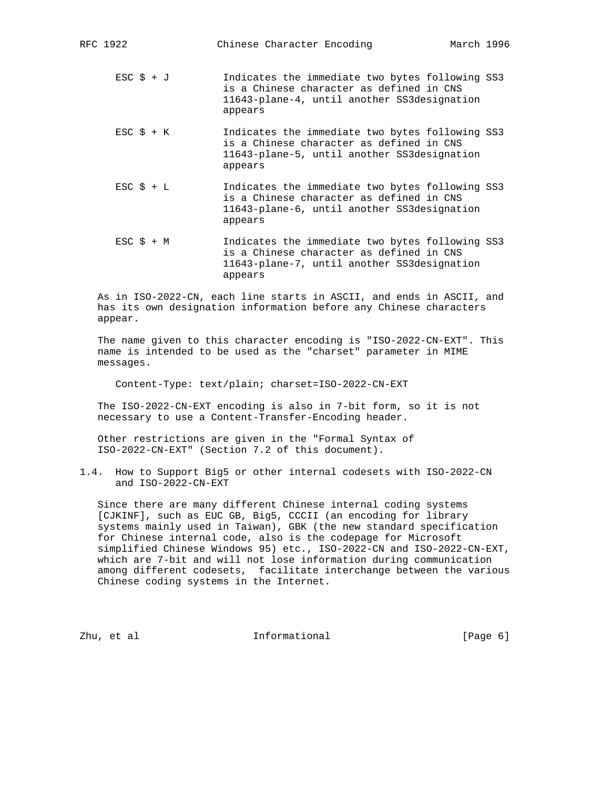| RFC 1922                    | Chinese Character Encoding                                                                                                                            | March 1996 |  |
|-----------------------------|-------------------------------------------------------------------------------------------------------------------------------------------------------|------------|--|
| $\text{ESC}$ \$ + J         | Indicates the immediate two bytes following SS3<br>is a Chinese character as defined in CNS<br>11643-plane-4, until another SS3designation<br>appears |            |  |
| $\text{ESC}$ $\text{S}$ + K | Indicates the immediate two bytes following SS3<br>is a Chinese character as defined in CNS<br>11643-plane-5, until another SS3designation<br>appears |            |  |
| $\text{ESC}$ $\text{S}$ + L | Indicates the immediate two bytes following SS3<br>is a Chinese character as defined in CNS<br>11643-plane-6, until another SS3designation<br>appears |            |  |
| $ESC$ $\zeta$ + M           | Indicates the immediate two bytes following SS3<br>is a Chinese character as defined in CNS<br>11643-plane-7, until another SS3designation            |            |  |

 As in ISO-2022-CN, each line starts in ASCII, and ends in ASCII, and has its own designation information before any Chinese characters appear.

 The name given to this character encoding is "ISO-2022-CN-EXT". This name is intended to be used as the "charset" parameter in MIME messages.

Content-Type: text/plain; charset=ISO-2022-CN-EXT

appears

 The ISO-2022-CN-EXT encoding is also in 7-bit form, so it is not necessary to use a Content-Transfer-Encoding header.

 Other restrictions are given in the "Formal Syntax of ISO-2022-CN-EXT" (Section 7.2 of this document).

1.4. How to Support Big5 or other internal codesets with ISO-2022-CN and ISO-2022-CN-EXT

 Since there are many different Chinese internal coding systems [CJKINF], such as EUC GB, Big5, CCCII (an encoding for library systems mainly used in Taiwan), GBK (the new standard specification for Chinese internal code, also is the codepage for Microsoft simplified Chinese Windows 95) etc., ISO-2022-CN and ISO-2022-CN-EXT, which are 7-bit and will not lose information during communication among different codesets, facilitate interchange between the various Chinese coding systems in the Internet.

Zhu, et al informational [Page 6]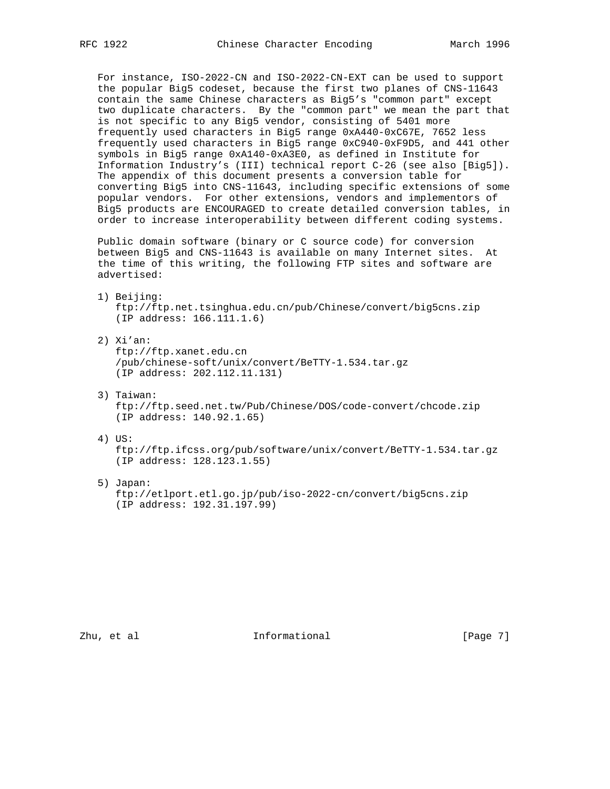For instance, ISO-2022-CN and ISO-2022-CN-EXT can be used to support the popular Big5 codeset, because the first two planes of CNS-11643 contain the same Chinese characters as Big5's "common part" except two duplicate characters. By the "common part" we mean the part that is not specific to any Big5 vendor, consisting of 5401 more frequently used characters in Big5 range 0xA440-0xC67E, 7652 less frequently used characters in Big5 range 0xC940-0xF9D5, and 441 other symbols in Big5 range 0xA140-0xA3E0, as defined in Institute for Information Industry's (III) technical report C-26 (see also [Big5]). The appendix of this document presents a conversion table for converting Big5 into CNS-11643, including specific extensions of some popular vendors. For other extensions, vendors and implementors of Big5 products are ENCOURAGED to create detailed conversion tables, in order to increase interoperability between different coding systems.

 Public domain software (binary or C source code) for conversion between Big5 and CNS-11643 is available on many Internet sites. At the time of this writing, the following FTP sites and software are advertised:

- 1) Beijing: ftp://ftp.net.tsinghua.edu.cn/pub/Chinese/convert/big5cns.zip (IP address: 166.111.1.6)
- 2) Xi'an: ftp://ftp.xanet.edu.cn /pub/chinese-soft/unix/convert/BeTTY-1.534.tar.gz (IP address: 202.112.11.131)
- 3) Taiwan: ftp://ftp.seed.net.tw/Pub/Chinese/DOS/code-convert/chcode.zip (IP address: 140.92.1.65)
- 4) US:

 ftp://ftp.ifcss.org/pub/software/unix/convert/BeTTY-1.534.tar.gz (IP address: 128.123.1.55)

5) Japan:

 ftp://etlport.etl.go.jp/pub/iso-2022-cn/convert/big5cns.zip (IP address: 192.31.197.99)

Zhu, et al informational informational [Page 7]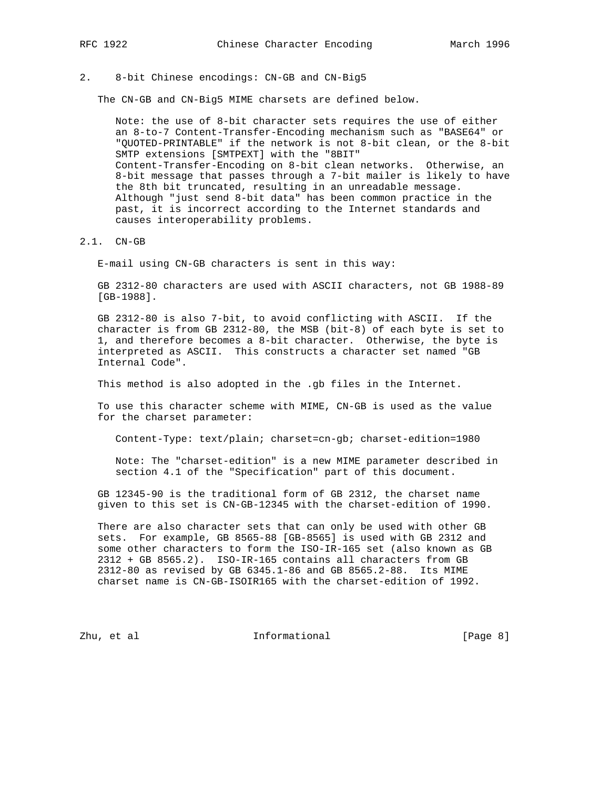#### 2. 8-bit Chinese encodings: CN-GB and CN-Big5

The CN-GB and CN-Big5 MIME charsets are defined below.

 Note: the use of 8-bit character sets requires the use of either an 8-to-7 Content-Transfer-Encoding mechanism such as "BASE64" or "QUOTED-PRINTABLE" if the network is not 8-bit clean, or the 8-bit SMTP extensions [SMTPEXT] with the "8BIT" Content-Transfer-Encoding on 8-bit clean networks. Otherwise, an 8-bit message that passes through a 7-bit mailer is likely to have the 8th bit truncated, resulting in an unreadable message. Although "just send 8-bit data" has been common practice in the past, it is incorrect according to the Internet standards and causes interoperability problems.

2.1. CN-GB

E-mail using CN-GB characters is sent in this way:

 GB 2312-80 characters are used with ASCII characters, not GB 1988-89 [GB-1988].

 GB 2312-80 is also 7-bit, to avoid conflicting with ASCII. If the character is from GB 2312-80, the MSB (bit-8) of each byte is set to 1, and therefore becomes a 8-bit character. Otherwise, the byte is interpreted as ASCII. This constructs a character set named "GB Internal Code".

This method is also adopted in the .gb files in the Internet.

 To use this character scheme with MIME, CN-GB is used as the value for the charset parameter:

Content-Type: text/plain; charset=cn-gb; charset-edition=1980

 Note: The "charset-edition" is a new MIME parameter described in section 4.1 of the "Specification" part of this document.

 GB 12345-90 is the traditional form of GB 2312, the charset name given to this set is CN-GB-12345 with the charset-edition of 1990.

 There are also character sets that can only be used with other GB sets. For example, GB 8565-88 [GB-8565] is used with GB 2312 and some other characters to form the ISO-IR-165 set (also known as GB 2312 + GB 8565.2). ISO-IR-165 contains all characters from GB 2312-80 as revised by GB 6345.1-86 and GB 8565.2-88. Its MIME charset name is CN-GB-ISOIR165 with the charset-edition of 1992.

Zhu, et al informational informational [Page 8]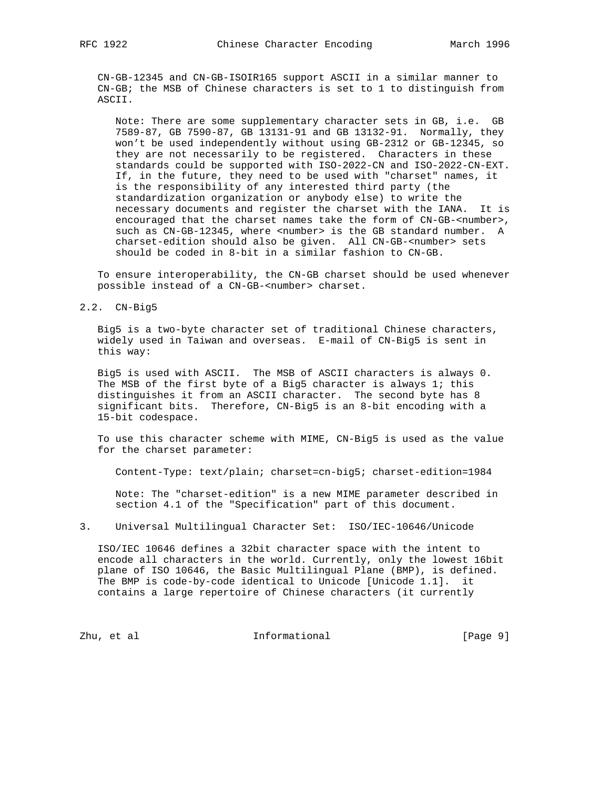CN-GB-12345 and CN-GB-ISOIR165 support ASCII in a similar manner to CN-GB; the MSB of Chinese characters is set to 1 to distinguish from ASCII.

 Note: There are some supplementary character sets in GB, i.e. GB 7589-87, GB 7590-87, GB 13131-91 and GB 13132-91. Normally, they won't be used independently without using GB-2312 or GB-12345, so they are not necessarily to be registered. Characters in these standards could be supported with ISO-2022-CN and ISO-2022-CN-EXT. If, in the future, they need to be used with "charset" names, it is the responsibility of any interested third party (the standardization organization or anybody else) to write the necessary documents and register the charset with the IANA. It is encouraged that the charset names take the form of CN-GB-<number>, such as CN-GB-12345, where <number> is the GB standard number. A charset-edition should also be given. All CN-GB-<number> sets should be coded in 8-bit in a similar fashion to CN-GB.

 To ensure interoperability, the CN-GB charset should be used whenever possible instead of a CN-GB-<number> charset.

#### 2.2. CN-Big5

 Big5 is a two-byte character set of traditional Chinese characters, widely used in Taiwan and overseas. E-mail of CN-Big5 is sent in this way:

 Big5 is used with ASCII. The MSB of ASCII characters is always 0. The MSB of the first byte of a Big5 character is always 1; this distinguishes it from an ASCII character. The second byte has 8 significant bits. Therefore, CN-Big5 is an 8-bit encoding with a 15-bit codespace.

 To use this character scheme with MIME, CN-Big5 is used as the value for the charset parameter:

Content-Type: text/plain; charset=cn-big5; charset-edition=1984

 Note: The "charset-edition" is a new MIME parameter described in section 4.1 of the "Specification" part of this document.

3. Universal Multilingual Character Set: ISO/IEC-10646/Unicode

 ISO/IEC 10646 defines a 32bit character space with the intent to encode all characters in the world. Currently, only the lowest 16bit plane of ISO 10646, the Basic Multilingual Plane (BMP), is defined. The BMP is code-by-code identical to Unicode [Unicode 1.1]. it contains a large repertoire of Chinese characters (it currently

Zhu, et al informational [Page 9]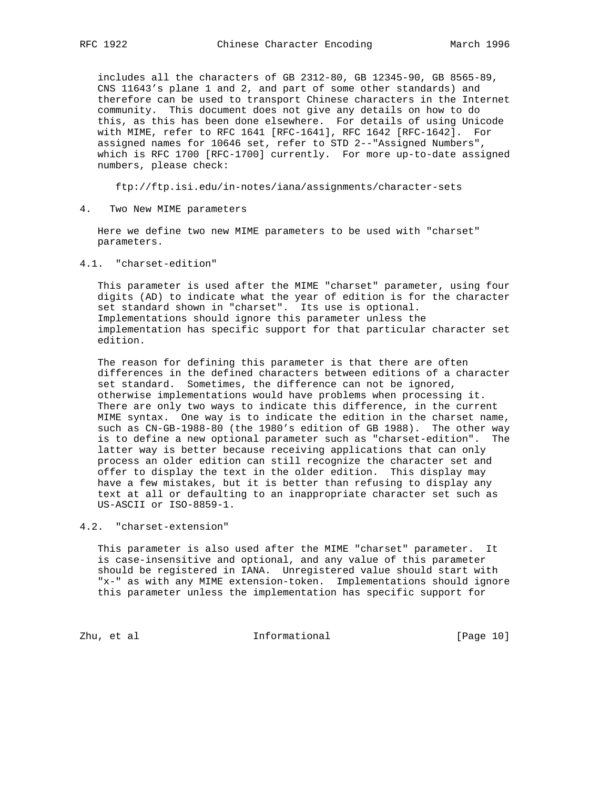includes all the characters of GB 2312-80, GB 12345-90, GB 8565-89, CNS 11643's plane 1 and 2, and part of some other standards) and therefore can be used to transport Chinese characters in the Internet community. This document does not give any details on how to do this, as this has been done elsewhere. For details of using Unicode with MIME, refer to RFC 1641 [RFC-1641], RFC 1642 [RFC-1642]. For assigned names for 10646 set, refer to STD 2--"Assigned Numbers", which is RFC 1700 [RFC-1700] currently. For more up-to-date assigned numbers, please check:

ftp://ftp.isi.edu/in-notes/iana/assignments/character-sets

4. Two New MIME parameters

 Here we define two new MIME parameters to be used with "charset" parameters.

4.1. "charset-edition"

 This parameter is used after the MIME "charset" parameter, using four digits (AD) to indicate what the year of edition is for the character set standard shown in "charset". Its use is optional. Implementations should ignore this parameter unless the implementation has specific support for that particular character set edition.

 The reason for defining this parameter is that there are often differences in the defined characters between editions of a character set standard. Sometimes, the difference can not be ignored, otherwise implementations would have problems when processing it. There are only two ways to indicate this difference, in the current MIME syntax. One way is to indicate the edition in the charset name, such as CN-GB-1988-80 (the 1980's edition of GB 1988). The other way is to define a new optional parameter such as "charset-edition". The latter way is better because receiving applications that can only process an older edition can still recognize the character set and offer to display the text in the older edition. This display may have a few mistakes, but it is better than refusing to display any text at all or defaulting to an inappropriate character set such as US-ASCII or ISO-8859-1.

4.2. "charset-extension"

 This parameter is also used after the MIME "charset" parameter. It is case-insensitive and optional, and any value of this parameter should be registered in IANA. Unregistered value should start with "x-" as with any MIME extension-token. Implementations should ignore this parameter unless the implementation has specific support for

Zhu, et al informational [Page 10]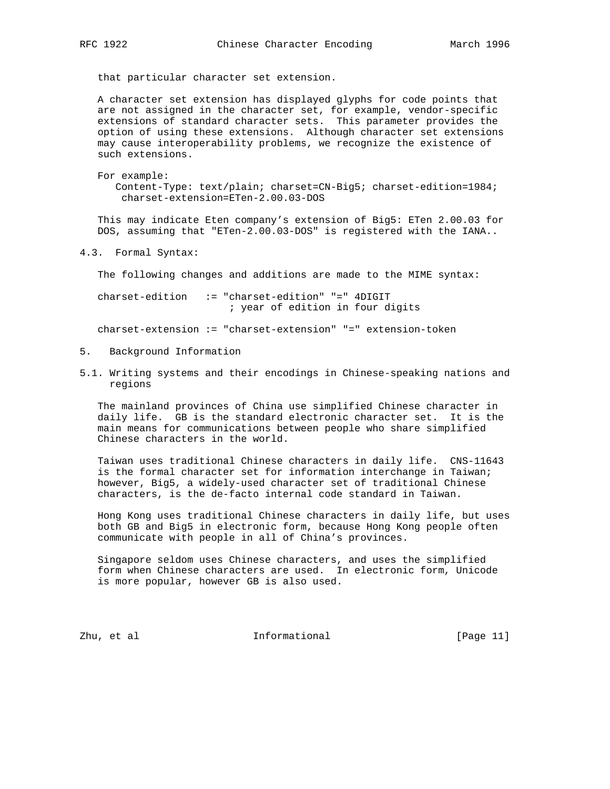that particular character set extension.

 A character set extension has displayed glyphs for code points that are not assigned in the character set, for example, vendor-specific extensions of standard character sets. This parameter provides the option of using these extensions. Although character set extensions may cause interoperability problems, we recognize the existence of such extensions.

 For example: Content-Type: text/plain; charset=CN-Big5; charset-edition=1984; charset-extension=ETen-2.00.03-DOS

 This may indicate Eten company's extension of Big5: ETen 2.00.03 for DOS, assuming that "ETen-2.00.03-DOS" is registered with the IANA..

4.3. Formal Syntax:

The following changes and additions are made to the MIME syntax:

 charset-edition := "charset-edition" "=" 4DIGIT ; year of edition in four digits

charset-extension := "charset-extension" "=" extension-token

- 5. Background Information
- 5.1. Writing systems and their encodings in Chinese-speaking nations and regions

 The mainland provinces of China use simplified Chinese character in daily life. GB is the standard electronic character set. It is the main means for communications between people who share simplified Chinese characters in the world.

 Taiwan uses traditional Chinese characters in daily life. CNS-11643 is the formal character set for information interchange in Taiwan; however, Big5, a widely-used character set of traditional Chinese characters, is the de-facto internal code standard in Taiwan.

 Hong Kong uses traditional Chinese characters in daily life, but uses both GB and Big5 in electronic form, because Hong Kong people often communicate with people in all of China's provinces.

 Singapore seldom uses Chinese characters, and uses the simplified form when Chinese characters are used. In electronic form, Unicode is more popular, however GB is also used.

Zhu, et al informational [Page 11]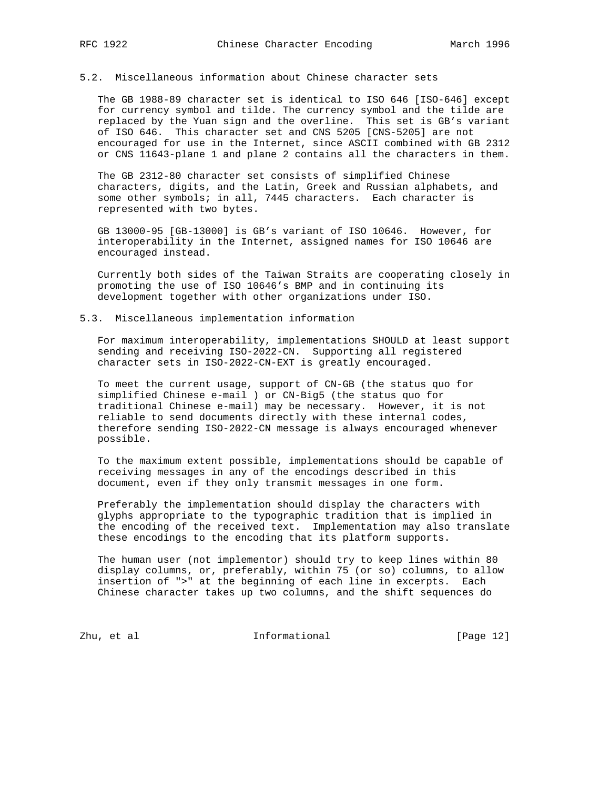# 5.2. Miscellaneous information about Chinese character sets

 The GB 1988-89 character set is identical to ISO 646 [ISO-646] except for currency symbol and tilde. The currency symbol and the tilde are replaced by the Yuan sign and the overline. This set is GB's variant of ISO 646. This character set and CNS 5205 [CNS-5205] are not encouraged for use in the Internet, since ASCII combined with GB 2312 or CNS 11643-plane 1 and plane 2 contains all the characters in them.

 The GB 2312-80 character set consists of simplified Chinese characters, digits, and the Latin, Greek and Russian alphabets, and some other symbols; in all, 7445 characters. Each character is represented with two bytes.

 GB 13000-95 [GB-13000] is GB's variant of ISO 10646. However, for interoperability in the Internet, assigned names for ISO 10646 are encouraged instead.

 Currently both sides of the Taiwan Straits are cooperating closely in promoting the use of ISO 10646's BMP and in continuing its development together with other organizations under ISO.

# 5.3. Miscellaneous implementation information

 For maximum interoperability, implementations SHOULD at least support sending and receiving ISO-2022-CN. Supporting all registered character sets in ISO-2022-CN-EXT is greatly encouraged.

 To meet the current usage, support of CN-GB (the status quo for simplified Chinese e-mail ) or CN-Big5 (the status quo for traditional Chinese e-mail) may be necessary. However, it is not reliable to send documents directly with these internal codes, therefore sending ISO-2022-CN message is always encouraged whenever possible.

 To the maximum extent possible, implementations should be capable of receiving messages in any of the encodings described in this document, even if they only transmit messages in one form.

 Preferably the implementation should display the characters with glyphs appropriate to the typographic tradition that is implied in the encoding of the received text. Implementation may also translate these encodings to the encoding that its platform supports.

 The human user (not implementor) should try to keep lines within 80 display columns, or, preferably, within 75 (or so) columns, to allow insertion of ">" at the beginning of each line in excerpts. Each Chinese character takes up two columns, and the shift sequences do

Zhu, et al informational [Page 12]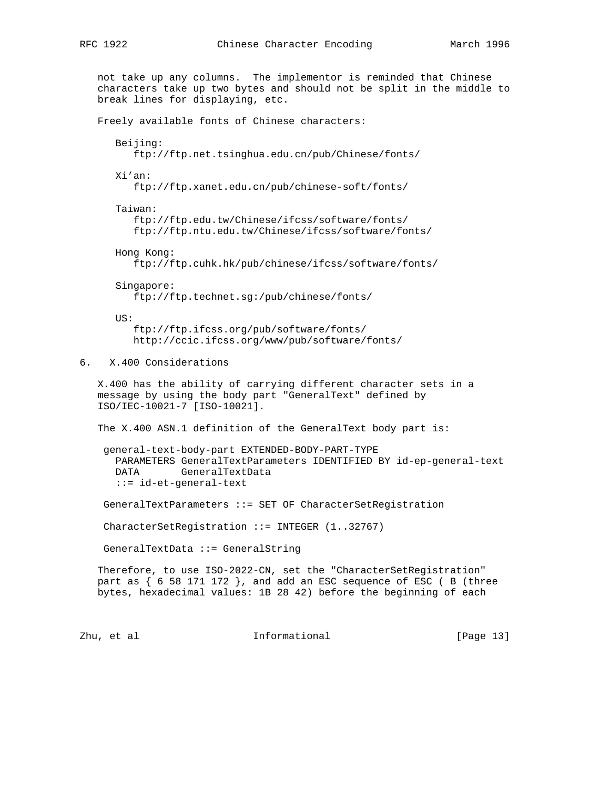not take up any columns. The implementor is reminded that Chinese characters take up two bytes and should not be split in the middle to break lines for displaying, etc. Freely available fonts of Chinese characters: Beijing: ftp://ftp.net.tsinghua.edu.cn/pub/Chinese/fonts/ Xi'an: ftp://ftp.xanet.edu.cn/pub/chinese-soft/fonts/ Taiwan: ftp://ftp.edu.tw/Chinese/ifcss/software/fonts/ ftp://ftp.ntu.edu.tw/Chinese/ifcss/software/fonts/ Hong Kong: ftp://ftp.cuhk.hk/pub/chinese/ifcss/software/fonts/ Singapore: ftp://ftp.technet.sg:/pub/chinese/fonts/ US: ftp://ftp.ifcss.org/pub/software/fonts/ http://ccic.ifcss.org/www/pub/software/fonts/ 6. X.400 Considerations X.400 has the ability of carrying different character sets in a message by using the body part "GeneralText" defined by ISO/IEC-10021-7 [ISO-10021]. The X.400 ASN.1 definition of the GeneralText body part is: general-text-body-part EXTENDED-BODY-PART-TYPE PARAMETERS GeneralTextParameters IDENTIFIED BY id-ep-general-text DATA GeneralTextData ::= id-et-general-text GeneralTextParameters ::= SET OF CharacterSetRegistration CharacterSetRegistration ::= INTEGER (1..32767) GeneralTextData ::= GeneralString Therefore, to use ISO-2022-CN, set the "CharacterSetRegistration" part as { 6 58 171 172 }, and add an ESC sequence of ESC ( B (three bytes, hexadecimal values: 1B 28 42) before the beginning of each

Zhu, et al informational [Page 13]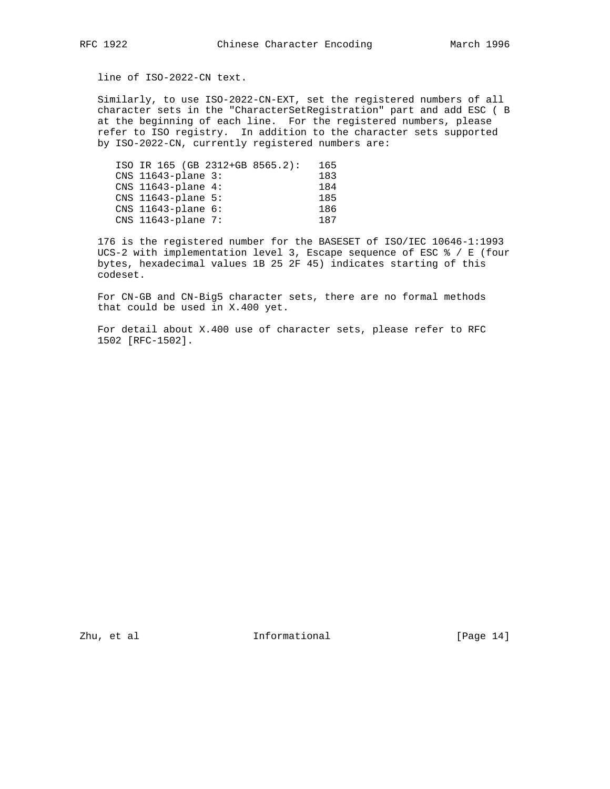line of ISO-2022-CN text.

 Similarly, to use ISO-2022-CN-EXT, set the registered numbers of all character sets in the "CharacterSetRegistration" part and add ESC ( B at the beginning of each line. For the registered numbers, please refer to ISO registry. In addition to the character sets supported by ISO-2022-CN, currently registered numbers are:

| ISO IR 165 (GB 2312+GB 8565.2): |  | 165 |
|---------------------------------|--|-----|
| CNS 11643-plane 3:              |  | 183 |
| $CNS$ 11643-plane 4:            |  | 184 |
| $CNS$ 11643-plane 5:            |  | 185 |
| CNS $11643$ -plane $6:$         |  | 186 |
| $CNS$ 11643-plane 7:            |  | 187 |
|                                 |  |     |

 176 is the registered number for the BASESET of ISO/IEC 10646-1:1993 UCS-2 with implementation level 3, Escape sequence of ESC % / E (four bytes, hexadecimal values 1B 25 2F 45) indicates starting of this codeset.

 For CN-GB and CN-Big5 character sets, there are no formal methods that could be used in X.400 yet.

 For detail about X.400 use of character sets, please refer to RFC 1502 [RFC-1502].

Zhu, et al informational [Page 14]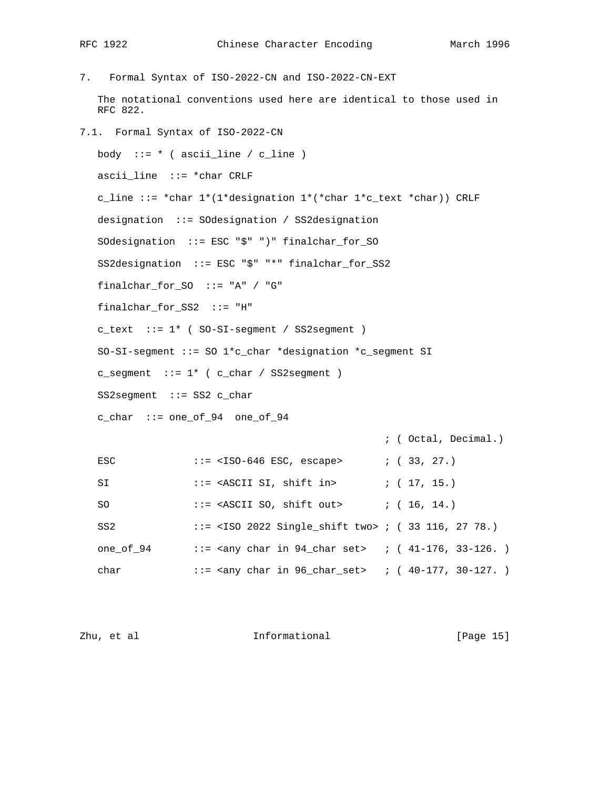7. Formal Syntax of ISO-2022-CN and ISO-2022-CN-EXT The notational conventions used here are identical to those used in RFC 822. 7.1. Formal Syntax of ISO-2022-CN body  $::= * ( \text{asci\_line } / c\_line )$  ascii\_line ::= \*char CRLF c\_line ::= \*char  $1*(1*designation 1*(*char 1*c_test *char))$  CRLF designation ::= SOdesignation / SS2designation SOdesignation ::= ESC "\$" ")" finalchar\_for\_SO SS2designation ::= ESC "\$" "\*" finalchar\_for\_SS2 finalchar\_for\_SO ::= "A" / "G" finalchar\_for\_SS2 ::= "H" c\_text ::= 1\* ( SO-SI-segment / SS2segment ) SO-SI-segment ::= SO 1\*c\_char \*designation \*c\_segment SI  $c$ \_segment  $::= 1*$  (  $c$ \_char / SS2segment ) SS2segment ::= SS2 c\_char c\_char ::= one\_of\_94 one\_of\_94 ; ( Octal, Decimal.) ESC  $::=  ESC, escape>  $::=$  (33, 27.)$ SI ::= <ASCII SI, shift in> ; ( 17, 15.) SO ::= <ASCII SO, shift out> ; ( 16, 14.) SS2 ::= <ISO 2022 Single\_shift two> ; ( 33 116, 27 78.)

one\_of\_94 ::= <any char in  $94$ \_char set> ; (41-176, 33-126.) char ::= <any char in 96\_char\_set> ; ( 40-177, 30-127. )

|  | Zhu, et al | Informational | [Page 15] |  |
|--|------------|---------------|-----------|--|
|--|------------|---------------|-----------|--|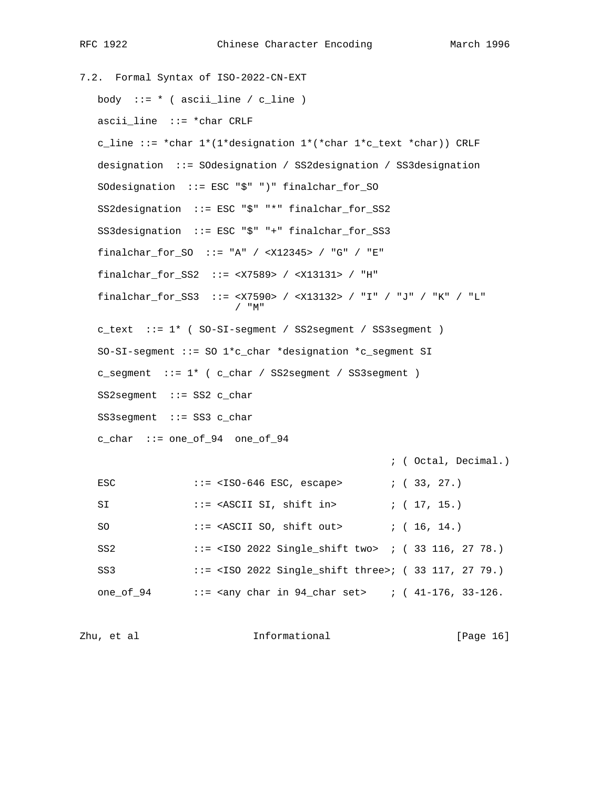7.2. Formal Syntax of ISO-2022-CN-EXT body ::=  $*$  ( ascii\_line / c\_line ) ascii\_line ::= \*char CRLF c\_line ::= \*char  $1*(1*$ designation  $1*(1*$ char  $1*C_test * char)$ ) CRLF designation ::= SOdesignation / SS2designation / SS3designation SOdesignation ::= ESC "\$" ")" finalchar\_for\_SO SS2designation ::= ESC "\$" "\*" finalchar\_for\_SS2 SS3designation ::= ESC "\$" "+" finalchar\_for\_SS3 finalchar\_for\_SO ::= "A" / <X12345> / "G" / "E" finalchar\_for\_SS2 ::= <X7589> / <X13131> / "H" finalchar\_for\_SS3 ::= <X7590> / <X13132> / "I" / "J" / "K" / "L" / "M" c\_text ::= 1\* ( SO-SI-segment / SS2segment / SS3segment ) SO-SI-segment ::= SO 1\*c\_char \*designation \*c\_segment SI c\_segment ::= 1\* ( c\_char / SS2segment / SS3segment ) SS2segment ::= SS2 c\_char SS3segment ::= SS3 c\_char c\_char ::= one\_of\_94 one\_of\_94 ; ( Octal, Decimal.) ESC  $: :=  ESC, escape>  $: :$  (33, 27.)$ SI ::= <ASCII SI, shift in> ; ( 17, 15.) SO ::= <ASCII SO, shift out> ; ( 16, 14.) SS2 ::= <ISO 2022 Single\_shift two> ; ( 33 116, 27 78.) SS3 ::= <ISO 2022 Single\_shift three>; ( 33 117, 27 79.) one\_of\_94 ::= <any char in  $94$ \_char set> ; (41-176, 33-126.

Zhu, et al informational [Page 16]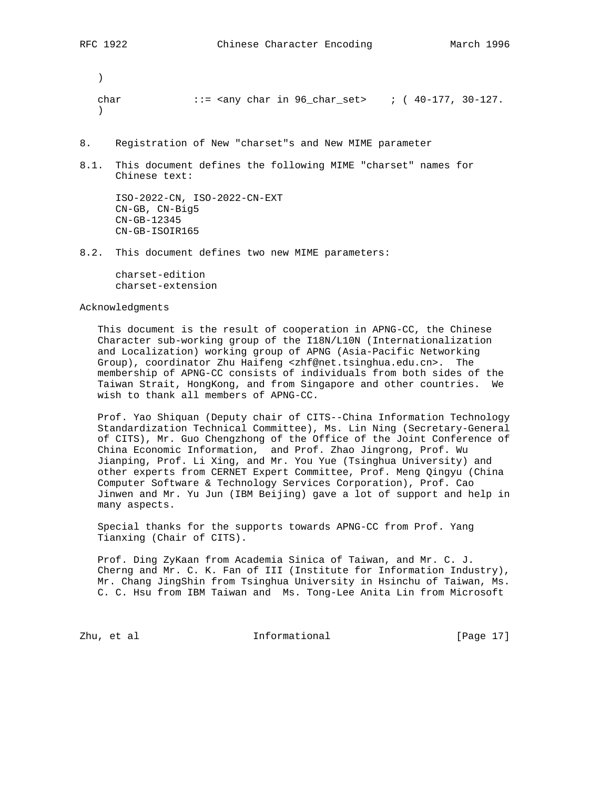)

char  $::=$   $\langle$   $\text{any char in } 96 \text{ char} \text{ set} \rangle$  ; (  $40-177$ ,  $30-127$ .  $\lambda$ 

- 8. Registration of New "charset"s and New MIME parameter
- 8.1. This document defines the following MIME "charset" names for Chinese text:

 ISO-2022-CN, ISO-2022-CN-EXT CN-GB, CN-Big5 CN-GB-12345 CN-GB-ISOIR165

8.2. This document defines two new MIME parameters:

 charset-edition charset-extension

# Acknowledgments

 This document is the result of cooperation in APNG-CC, the Chinese Character sub-working group of the I18N/L10N (Internationalization and Localization) working group of APNG (Asia-Pacific Networking Group), coordinator Zhu Haifeng <zhf@net.tsinghua.edu.cn>. The membership of APNG-CC consists of individuals from both sides of the Taiwan Strait, HongKong, and from Singapore and other countries. We wish to thank all members of APNG-CC.

 Prof. Yao Shiquan (Deputy chair of CITS--China Information Technology Standardization Technical Committee), Ms. Lin Ning (Secretary-General of CITS), Mr. Guo Chengzhong of the Office of the Joint Conference of China Economic Information, and Prof. Zhao Jingrong, Prof. Wu Jianping, Prof. Li Xing, and Mr. You Yue (Tsinghua University) and other experts from CERNET Expert Committee, Prof. Meng Qingyu (China Computer Software & Technology Services Corporation), Prof. Cao Jinwen and Mr. Yu Jun (IBM Beijing) gave a lot of support and help in many aspects.

 Special thanks for the supports towards APNG-CC from Prof. Yang Tianxing (Chair of CITS).

 Prof. Ding ZyKaan from Academia Sinica of Taiwan, and Mr. C. J. Cherng and Mr. C. K. Fan of III (Institute for Information Industry), Mr. Chang JingShin from Tsinghua University in Hsinchu of Taiwan, Ms. C. C. Hsu from IBM Taiwan and Ms. Tong-Lee Anita Lin from Microsoft

Zhu, et al informational [Page 17]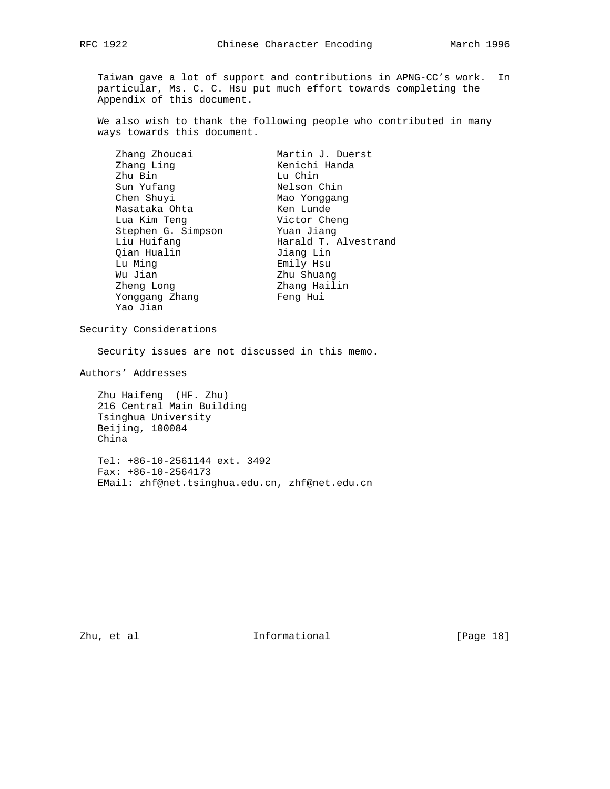Taiwan gave a lot of support and contributions in APNG-CC's work. In particular, Ms. C. C. Hsu put much effort towards completing the Appendix of this document.

 We also wish to thank the following people who contributed in many ways towards this document.

| Zhang Zhoucai      | Martin J. Duerst     |
|--------------------|----------------------|
| Zhang Ling         | Kenichi Handa        |
| Zhu Bin            | Lu Chin              |
| Sun Yufang         | Nelson Chin          |
| Chen Shuyi         | Mao Yonggang         |
| Masataka Ohta      | Ken Lunde            |
| Lua Kim Teng       | Victor Cheng         |
| Stephen G. Simpson | Yuan Jiang           |
| Liu Huifang        | Harald T. Alvestrand |
| Qian Hualin        | Jiang Lin            |
| Lu Ming            | Emily Hsu            |
| Wu Jian            | Zhu Shuang           |
| Zheng Long         | Zhang Hailin         |
| Yonggang Zhang     | Feng Hui             |
| Yao Jian           |                      |

Security Considerations

Security issues are not discussed in this memo.

Authors' Addresses

 Zhu Haifeng (HF. Zhu) 216 Central Main Building Tsinghua University Beijing, 100084 China

 Tel: +86-10-2561144 ext. 3492 Fax: +86-10-2564173 EMail: zhf@net.tsinghua.edu.cn, zhf@net.edu.cn

Zhu, et al informational [Page 18]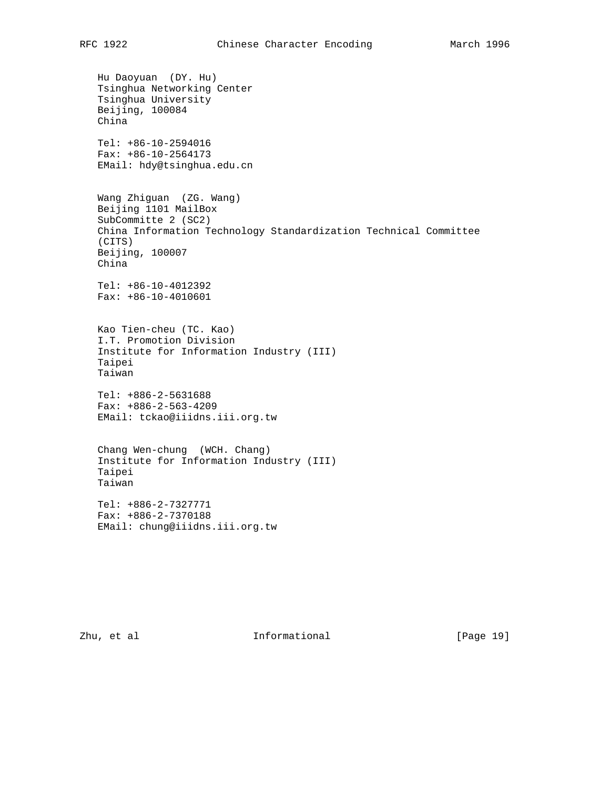```
 Hu Daoyuan (DY. Hu)
Tsinghua Networking Center
Tsinghua University
Beijing, 100084
China
Tel: +86-10-2594016
Fax: +86-10-2564173
EMail: hdy@tsinghua.edu.cn
Wang Zhiguan (ZG. Wang)
Beijing 1101 MailBox
SubCommitte 2 (SC2)
China Information Technology Standardization Technical Committee
(CITS)
Beijing, 100007
China
Tel: +86-10-4012392
Fax: +86-10-4010601
Kao Tien-cheu (TC. Kao)
I.T. Promotion Division
Institute for Information Industry (III)
Taipei
Taiwan
Tel: +886-2-5631688
Fax: +886-2-563-4209
EMail: tckao@iiidns.iii.org.tw
Chang Wen-chung (WCH. Chang)
Institute for Information Industry (III)
Taipei
Taiwan
Tel: +886-2-7327771
Fax: +886-2-7370188
EMail: chung@iiidns.iii.org.tw
```
Zhu, et al informational [Page 19]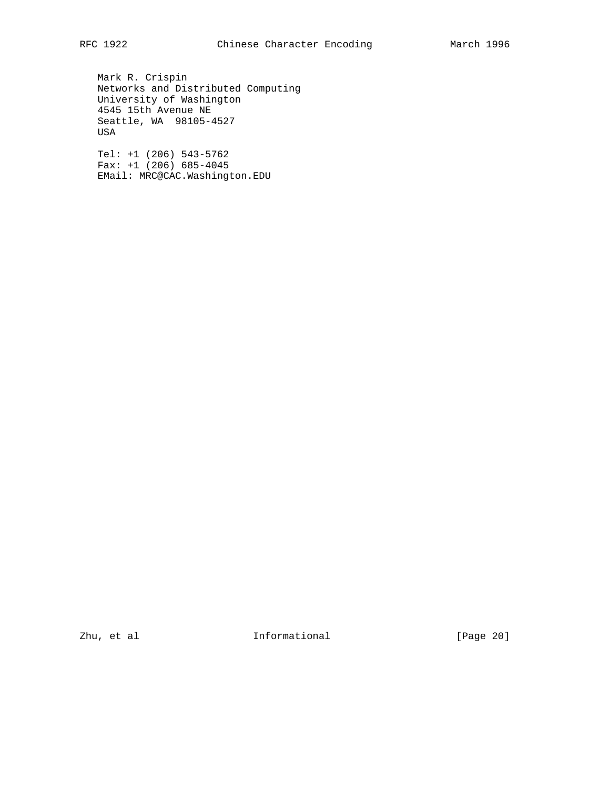Mark R. Crispin Networks and Distributed Computing University of Washington 4545 15th Avenue NE Seattle, WA 98105-4527 USA

 Tel: +1 (206) 543-5762 Fax: +1 (206) 685-4045 EMail: MRC@CAC.Washington.EDU

zhu, et al  $\qquad \qquad$  Informational [Page 20]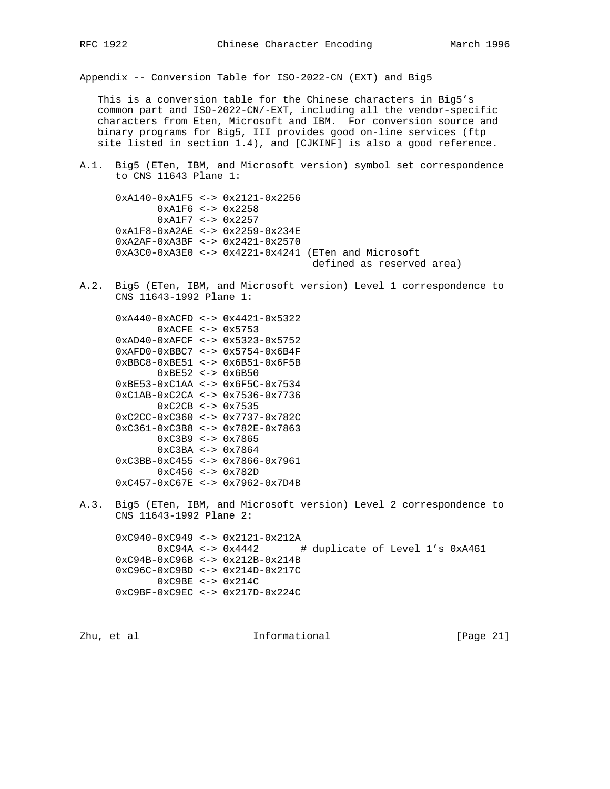Appendix -- Conversion Table for ISO-2022-CN (EXT) and Big5

 This is a conversion table for the Chinese characters in Big5's common part and ISO-2022-CN/-EXT, including all the vendor-specific characters from Eten, Microsoft and IBM. For conversion source and binary programs for Big5, III provides good on-line services (ftp site listed in section 1.4), and [CJKINF] is also a good reference.

A.1. Big5 (ETen, IBM, and Microsoft version) symbol set correspondence to CNS 11643 Plane 1:

 0xA140-0xA1F5 <-> 0x2121-0x2256 0xA1F6 <-> 0x2258 0xA1F7 <-> 0x2257 0xA1F8-0xA2AE <-> 0x2259-0x234E 0xA2AF-0xA3BF <-> 0x2421-0x2570 0xA3C0-0xA3E0 <-> 0x4221-0x4241 (ETen and Microsoft defined as reserved area)

A.2. Big5 (ETen, IBM, and Microsoft version) Level 1 correspondence to CNS 11643-1992 Plane 1:

 0xA440-0xACFD <-> 0x4421-0x5322 0xACFE <-> 0x5753 0xAD40-0xAFCF <-> 0x5323-0x5752 0xAFD0-0xBBC7 <-> 0x5754-0x6B4F 0xBBC8-0xBE51 <-> 0x6B51-0x6F5B 0xBE52 <-> 0x6B50 0xBE53-0xC1AA <-> 0x6F5C-0x7534 0xC1AB-0xC2CA <-> 0x7536-0x7736 0xC2CB <-> 0x7535 0xC2CC-0xC360 <-> 0x7737-0x782C 0xC361-0xC3B8 <-> 0x782E-0x7863 0xC3B9 <-> 0x7865 0xC3BA <-> 0x7864 0xC3BB-0xC455 <-> 0x7866-0x7961 0xC456 <-> 0x782D 0xC457-0xC67E <-> 0x7962-0x7D4B

A.3. Big5 (ETen, IBM, and Microsoft version) Level 2 correspondence to CNS 11643-1992 Plane 2:

 0xC940-0xC949 <-> 0x2121-0x212A 0xC94A <-> 0x4442 # duplicate of Level 1's 0xA461 0xC94B-0xC96B <-> 0x212B-0x214B 0xC96C-0xC9BD <-> 0x214D-0x217C 0xC9BE <-> 0x214C 0xC9BF-0xC9EC <-> 0x217D-0x224C

Zhu, et al informational [Page 21]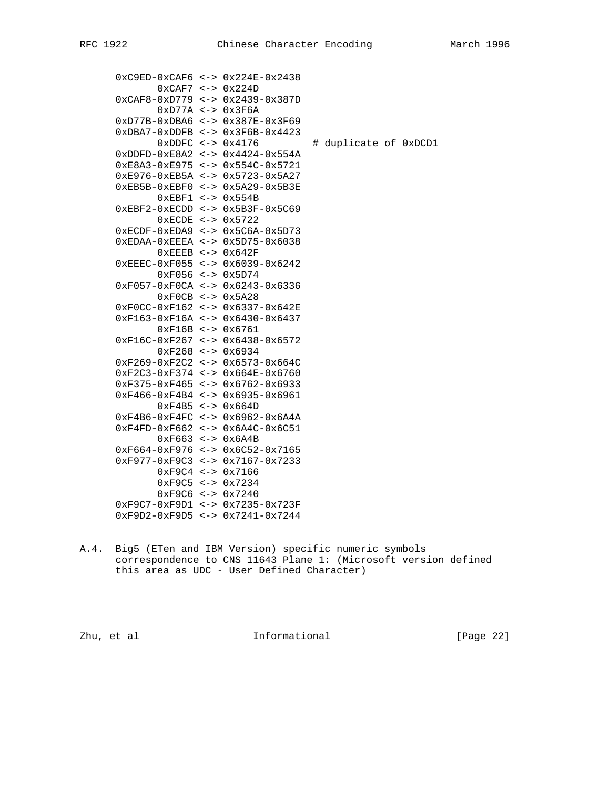|  | $0xC9ED-0xCAF6 \le -> 0x224E-0x2438$       |                       |
|--|--------------------------------------------|-----------------------|
|  | $0xCAF7 < -$ 0x224D                        |                       |
|  | $0xCAF8-0xD779 \le -> 0x2439-0x387D$       |                       |
|  | $0xD77A \leq -\geq 0x3F6A$                 |                       |
|  | $0xD77B-0xDBA6 \le -> 0x387E-0x3F69$       |                       |
|  | $0xDBA7 - 0xDDFB < - > 0x3F6B - 0x4423$    |                       |
|  | $0xDDFC < -$ 0x4176                        | # duplicate of 0xDCD1 |
|  | $0xDDFD-0xE8A2 \le -> 0x4424-0x554A$       |                       |
|  | $0xE8A3 - 0xE975 \le - > 0x554C - 0x5721$  |                       |
|  | $0xE976 - 0xEB5A \leq -50x5723 - 0x5A27$   |                       |
|  | $0xEB5B-0xEBF0 \le -> 0x5A29-0x5B3E$       |                       |
|  | $0xEBF1 \le -\ge 0x554B$                   |                       |
|  | $0xEBF2-0xECDD \le -> 0x5B3F-0x5C69$       |                       |
|  | $0 \times$ ECDE <-> $0 \times 5722$        |                       |
|  | $0xECDF-0xEDA9 \leq -\geq 0x5C6A-0x5D73$   |                       |
|  | $0xEDAA-0xEEEA \leq -\geq 0x5D75-0x6038$   |                       |
|  | $0xEEEB <  0x642F$                         |                       |
|  | $0xEEEC-0xF055 \leq x>0x6039-0x6242$       |                       |
|  | $0xF056 \le -> 0x5D74$                     |                       |
|  | $0xF057-0xF0CA < -$ 0x6243-0x6336          |                       |
|  | $0xF0CB \leq -\geq 0x5A28$                 |                       |
|  | 0xF0CC-0xF162 <-> 0x6337-0x642E            |                       |
|  | $0xF163-0xF16A \le -> 0x6430-0x6437$       |                       |
|  | $0xF16B \le -> 0x6761$                     |                       |
|  | $0xF16C-0xF267 \le -> 0x6438-0x6572$       |                       |
|  | $0xF268 \le -\; 0x6934$                    |                       |
|  | $0xF269-0xF2C2 \leq -> 0x6573-0x664C$      |                       |
|  | $0xF2C3-0xF374 < ->0x664E-0x6760$          |                       |
|  | $0xF375-0xF465 \leq x-> 0x6762-0x6933$     |                       |
|  | $0xF466 - 0xF4B4 \le -\ge 0x6935 - 0x6961$ |                       |
|  | $0xF4B5 \leq -\geq 0x664D$                 |                       |
|  | $0xF4B6-0xF4FC < -$ 0x6962-0x6A4A          |                       |
|  | $0xF4FD-0xF662 \leq -> 0x6A4C-0x6C51$      |                       |
|  | $0xF663 \leq -50x6A4B$                     |                       |
|  | $0xF664-0xF976 \le -> 0x6C52-0x7165$       |                       |
|  | $0xF977-0xF9C3 \le -> 0x7167-0x7233$       |                       |
|  | $0xF9C4 \le -> 0x7166$                     |                       |
|  | $0xF9C5 \leq -50x7234$                     |                       |
|  | $0xF9C6 \le -\ge 0x7240$                   |                       |
|  | $0xF9C7-0xF9D1 \le -> 0x7235-0x723F$       |                       |
|  | $0xF9D2-0xF9D5 \leq -> 0x7241-0x7244$      |                       |
|  |                                            |                       |

A.4. Big5 (ETen and IBM Version) specific numeric symbols correspondence to CNS 11643 Plane 1: (Microsoft version defined this area as UDC - User Defined Character)

zhu, et al **Informational** [Page 22]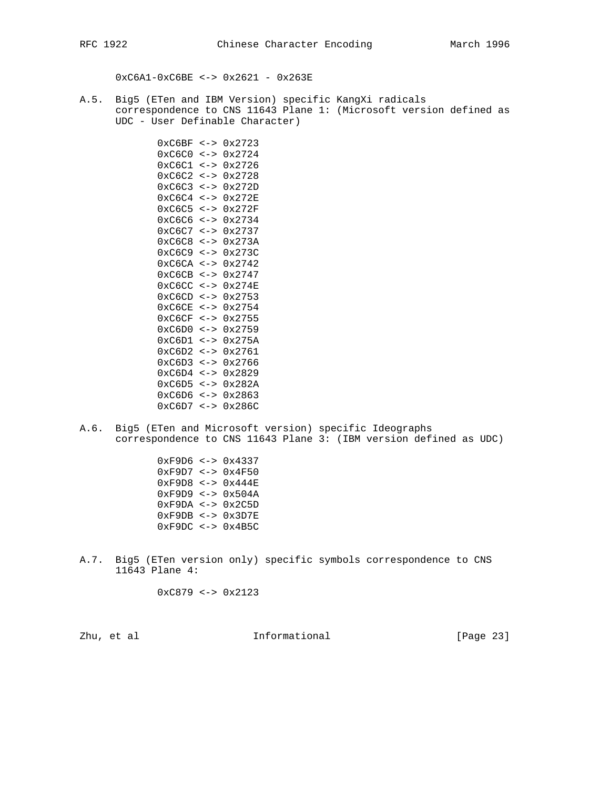0xC6A1-0xC6BE <-> 0x2621 - 0x263E

A.5. Big5 (ETen and IBM Version) specific KangXi radicals correspondence to CNS 11643 Plane 1: (Microsoft version defined as UDC - User Definable Character)

> 0xC6BF <-> 0x2723 0xC6C0 <-> 0x2724 0xC6C1 <-> 0x2726 0xC6C2 <-> 0x2728 0xC6C3 <-> 0x272D 0xC6C4 <-> 0x272E 0xC6C5 <-> 0x272F 0xC6C6 <-> 0x2734 0xC6C7 <-> 0x2737 0xC6C8 <-> 0x273A 0xC6C9 <-> 0x273C 0xC6CA <-> 0x2742 0xC6CB <-> 0x2747 0xC6CC <-> 0x274E 0xC6CD <-> 0x2753 0xC6CE <-> 0x2754 0xC6CF <-> 0x2755 0xC6D0 <-> 0x2759 0xC6D1 <-> 0x275A 0xC6D2 <-> 0x2761 0xC6D3 <-> 0x2766 0xC6D4 <-> 0x2829 0xC6D5 <-> 0x282A 0xC6D6 <-> 0x2863 0xC6D7 <-> 0x286C

A.6. Big5 (ETen and Microsoft version) specific Ideographs correspondence to CNS 11643 Plane 3: (IBM version defined as UDC)

> 0xF9D6 <-> 0x4337 0xF9D7 <-> 0x4F50 0xF9D8 <-> 0x444E 0xF9D9 <-> 0x504A 0xF9DA <-> 0x2C5D 0xF9DB <-> 0x3D7E 0xF9DC <-> 0x4B5C

A.7. Big5 (ETen version only) specific symbols correspondence to CNS 11643 Plane 4:

 $0xC879 \le -\ge 0x2123$ 

Zhu, et al informational [Page 23]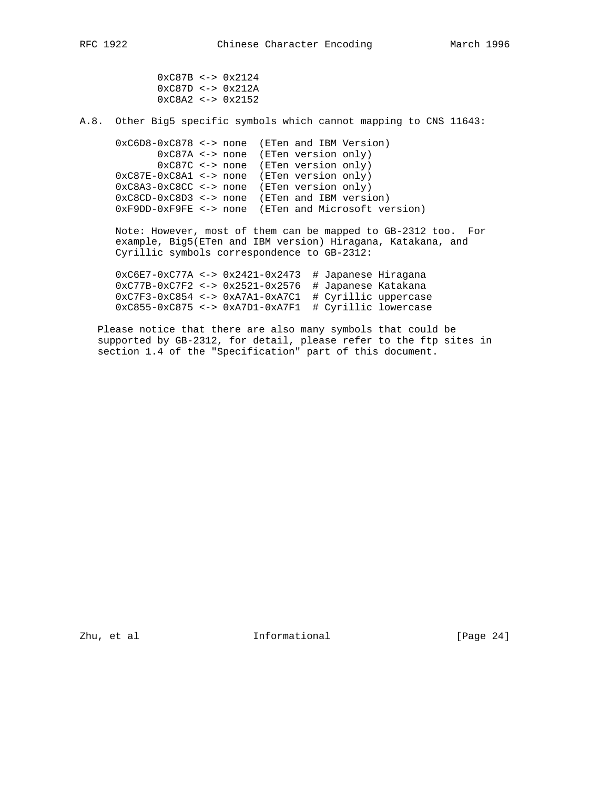0xC87B <-> 0x2124 0xC87D <-> 0x212A 0xC8A2 <-> 0x2152

A.8. Other Big5 specific symbols which cannot mapping to CNS 11643:

 0xC6D8-0xC878 <-> none (ETen and IBM Version) 0xC87A <-> none (ETen version only) 0xC87C <-> none (ETen version only) 0xC87E-0xC8A1 <-> none (ETen version only) 0xC8A3-0xC8CC <-> none (ETen version only) 0xC8CD-0xC8D3 <-> none (ETen and IBM version) 0xF9DD-0xF9FE <-> none (ETen and Microsoft version)

 Note: However, most of them can be mapped to GB-2312 too. For example, Big5(ETen and IBM version) Hiragana, Katakana, and Cyrillic symbols correspondence to GB-2312:

 0xC6E7-0xC77A <-> 0x2421-0x2473 # Japanese Hiragana 0xC77B-0xC7F2 <-> 0x2521-0x2576 # Japanese Katakana 0xC7F3-0xC854 <-> 0xA7A1-0xA7C1 # Cyrillic uppercase 0xC855-0xC875 <-> 0xA7D1-0xA7F1 # Cyrillic lowercase

 Please notice that there are also many symbols that could be supported by GB-2312, for detail, please refer to the ftp sites in section 1.4 of the "Specification" part of this document.

Zhu, et al **Informational** [Page 24]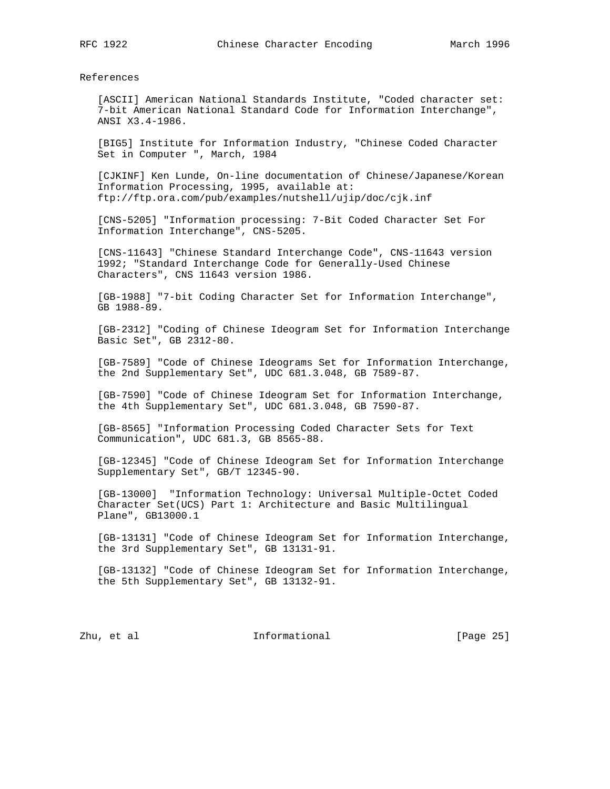References

 [ASCII] American National Standards Institute, "Coded character set: 7-bit American National Standard Code for Information Interchange", ANSI X3.4-1986.

 [BIG5] Institute for Information Industry, "Chinese Coded Character Set in Computer ", March, 1984

 [CJKINF] Ken Lunde, On-line documentation of Chinese/Japanese/Korean Information Processing, 1995, available at: ftp://ftp.ora.com/pub/examples/nutshell/ujip/doc/cjk.inf

 [CNS-5205] "Information processing: 7-Bit Coded Character Set For Information Interchange", CNS-5205.

 [CNS-11643] "Chinese Standard Interchange Code", CNS-11643 version 1992; "Standard Interchange Code for Generally-Used Chinese Characters", CNS 11643 version 1986.

 [GB-1988] "7-bit Coding Character Set for Information Interchange", GB 1988-89.

 [GB-2312] "Coding of Chinese Ideogram Set for Information Interchange Basic Set", GB 2312-80.

 [GB-7589] "Code of Chinese Ideograms Set for Information Interchange, the 2nd Supplementary Set", UDC 681.3.048, GB 7589-87.

 [GB-7590] "Code of Chinese Ideogram Set for Information Interchange, the 4th Supplementary Set", UDC 681.3.048, GB 7590-87.

 [GB-8565] "Information Processing Coded Character Sets for Text Communication", UDC 681.3, GB 8565-88.

 [GB-12345] "Code of Chinese Ideogram Set for Information Interchange Supplementary Set", GB/T 12345-90.

 [GB-13000] "Information Technology: Universal Multiple-Octet Coded Character Set(UCS) Part 1: Architecture and Basic Multilingual Plane", GB13000.1

 [GB-13131] "Code of Chinese Ideogram Set for Information Interchange, the 3rd Supplementary Set", GB 13131-91.

 [GB-13132] "Code of Chinese Ideogram Set for Information Interchange, the 5th Supplementary Set", GB 13132-91.

Zhu, et al informational [Page 25]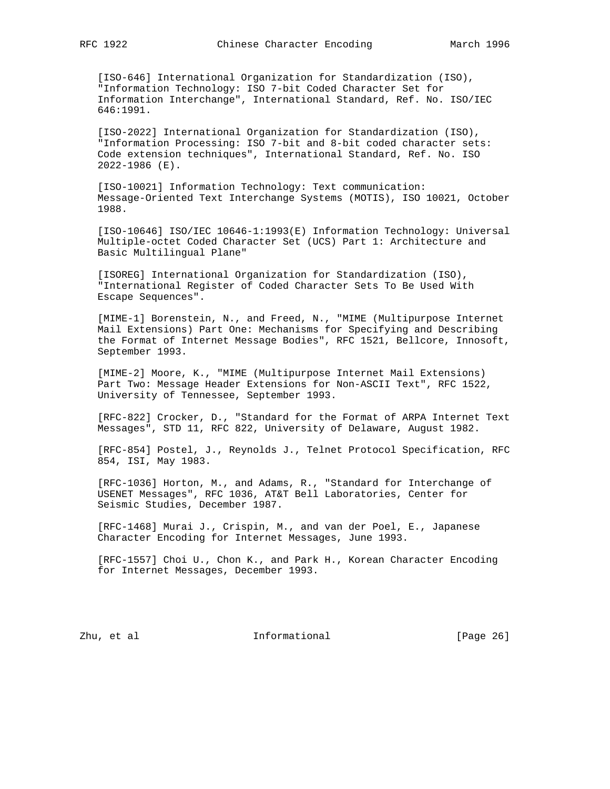[ISO-646] International Organization for Standardization (ISO), "Information Technology: ISO 7-bit Coded Character Set for Information Interchange", International Standard, Ref. No. ISO/IEC 646:1991.

 [ISO-2022] International Organization for Standardization (ISO), "Information Processing: ISO 7-bit and 8-bit coded character sets: Code extension techniques", International Standard, Ref. No. ISO 2022-1986 (E).

 [ISO-10021] Information Technology: Text communication: Message-Oriented Text Interchange Systems (MOTIS), ISO 10021, October 1988.

 [ISO-10646] ISO/IEC 10646-1:1993(E) Information Technology: Universal Multiple-octet Coded Character Set (UCS) Part 1: Architecture and Basic Multilingual Plane"

 [ISOREG] International Organization for Standardization (ISO), "International Register of Coded Character Sets To Be Used With Escape Sequences".

 [MIME-1] Borenstein, N., and Freed, N., "MIME (Multipurpose Internet Mail Extensions) Part One: Mechanisms for Specifying and Describing the Format of Internet Message Bodies", RFC 1521, Bellcore, Innosoft, September 1993.

 [MIME-2] Moore, K., "MIME (Multipurpose Internet Mail Extensions) Part Two: Message Header Extensions for Non-ASCII Text", RFC 1522, University of Tennessee, September 1993.

 [RFC-822] Crocker, D., "Standard for the Format of ARPA Internet Text Messages", STD 11, RFC 822, University of Delaware, August 1982.

 [RFC-854] Postel, J., Reynolds J., Telnet Protocol Specification, RFC 854, ISI, May 1983.

 [RFC-1036] Horton, M., and Adams, R., "Standard for Interchange of USENET Messages", RFC 1036, AT&T Bell Laboratories, Center for Seismic Studies, December 1987.

 [RFC-1468] Murai J., Crispin, M., and van der Poel, E., Japanese Character Encoding for Internet Messages, June 1993.

 [RFC-1557] Choi U., Chon K., and Park H., Korean Character Encoding for Internet Messages, December 1993.

Zhu, et al informational [Page 26]